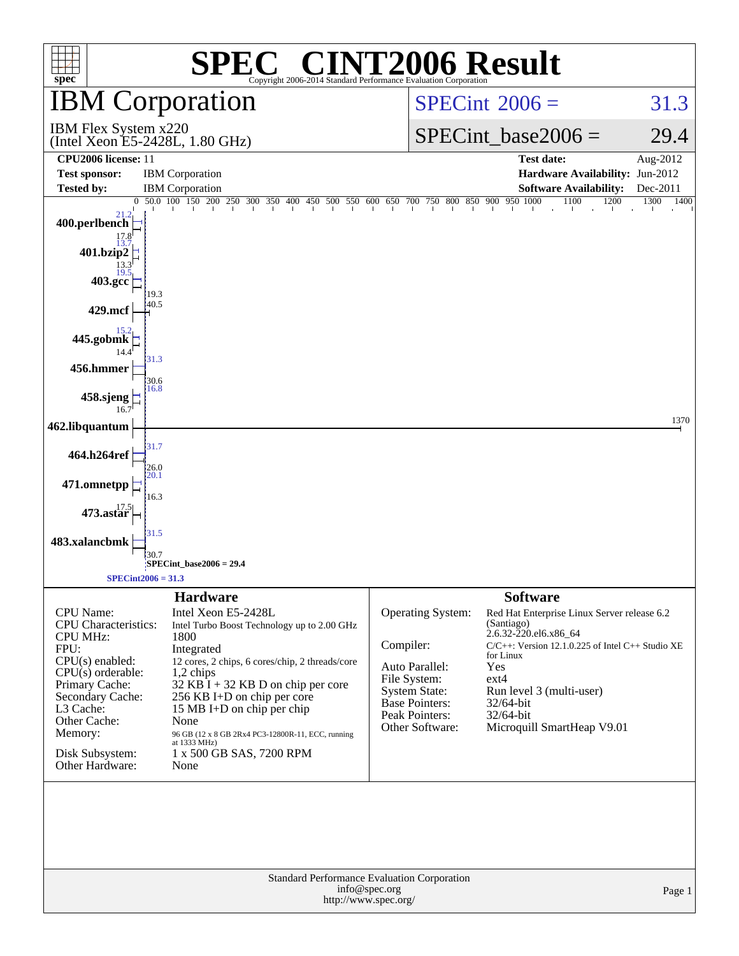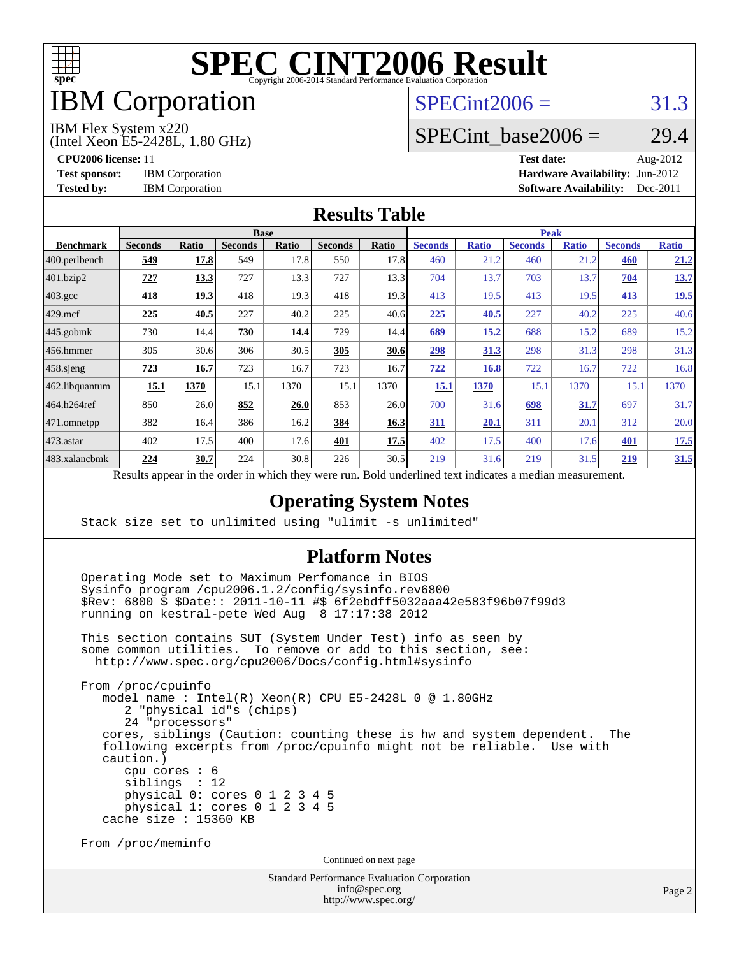

## IBM Corporation

#### $SPECint2006 = 31.3$  $SPECint2006 = 31.3$

IBM Flex System x220

(Intel Xeon E5-2428L, 1.80 GHz)

**[CPU2006 license:](http://www.spec.org/auto/cpu2006/Docs/result-fields.html#CPU2006license)** 11 **[Test date:](http://www.spec.org/auto/cpu2006/Docs/result-fields.html#Testdate)** Aug-2012 **[Test sponsor:](http://www.spec.org/auto/cpu2006/Docs/result-fields.html#Testsponsor)** IBM Corporation **[Hardware Availability:](http://www.spec.org/auto/cpu2006/Docs/result-fields.html#HardwareAvailability)** Jun-2012 **[Tested by:](http://www.spec.org/auto/cpu2006/Docs/result-fields.html#Testedby)** IBM Corporation **[Software Availability:](http://www.spec.org/auto/cpu2006/Docs/result-fields.html#SoftwareAvailability)** Dec-2011

SPECint base2006 =  $29.4$ 

#### **[Results Table](http://www.spec.org/auto/cpu2006/Docs/result-fields.html#ResultsTable)**

| <b>Base</b>    |       |                |              |                | <b>Peak</b>                          |                |              |                |              |                |              |
|----------------|-------|----------------|--------------|----------------|--------------------------------------|----------------|--------------|----------------|--------------|----------------|--------------|
| <b>Seconds</b> | Ratio | <b>Seconds</b> | <b>Ratio</b> | <b>Seconds</b> | <b>Ratio</b>                         | <b>Seconds</b> | <b>Ratio</b> | <b>Seconds</b> | <b>Ratio</b> | <b>Seconds</b> | <b>Ratio</b> |
| 549            | 17.8  | 549            |              | 550            | 17.8                                 | 460            | 21.2         | 460            | 21.2         | 460            | 21.2         |
| 727            | 13.3  | 727            |              | 727            | 13.3                                 | 704            | 13.7         | 703            | 13.7         | 704            | 13.7         |
| 418            | 19.3  | 418            |              | 418            | 19.3                                 | 413            | 19.5         | 413            | 19.5         | 413            | 19.5         |
| 225            | 40.5  | 227            | 40.2         | 225            | 40.6                                 | 225            | 40.5         | 227            | 40.2         | 225            | 40.6         |
| 730            | 14.4  | 730            | 14.4         | 729            | 14.4                                 | 689            | 15.2         | 688            | 15.2         | 689            | 15.2         |
| 305            | 30.6  | 306            | 30.5         | 305            | 30.6                                 | 298            | 31.3         | 298            | 31.3         | 298            | 31.3         |
| 723            | 16.7  | 723            | 16.7         | 723            | 16.7                                 | 722            | <b>16.8</b>  | 722            | 16.7         | 722            | 16.8         |
| 15.1           | 1370  | 15.1           | 1370         | 15.1           | 1370                                 | 15.1           | 1370         | 15.1           | 1370         | 15.1           | 1370         |
| 850            | 26.0  | 852            | 26.0         | 853            | 26.0                                 | 700            | 31.6         | 698            | 31.7         | 697            | 31.7         |
| 382            | 16.4  | 386            | 16.2         | 384            | 16.3                                 | <b>311</b>     | 20.1         | 311            | 20.1         | 312            | 20.0         |
| 402            | 17.5  | 400            |              | 401            | 17.5                                 | 402            | 17.5         | 400            | 17.6         | <b>401</b>     | <u>17.5</u>  |
| 224            | 30.7  | 224            |              | 226            | 30.5                                 | 219            |              | 219            | 31.5         | 219            | 31.5         |
|                |       |                |              |                | 17.8<br>13.3<br>19.3<br>17.6<br>30.8 |                |              |                | 31.6         |                |              |

Results appear in the [order in which they were run.](http://www.spec.org/auto/cpu2006/Docs/result-fields.html#RunOrder) Bold underlined text [indicates a median measurement.](http://www.spec.org/auto/cpu2006/Docs/result-fields.html#Median)

#### **[Operating System Notes](http://www.spec.org/auto/cpu2006/Docs/result-fields.html#OperatingSystemNotes)**

Stack size set to unlimited using "ulimit -s unlimited"

#### **[Platform Notes](http://www.spec.org/auto/cpu2006/Docs/result-fields.html#PlatformNotes)**

 Operating Mode set to Maximum Perfomance in BIOS Sysinfo program /cpu2006.1.2/config/sysinfo.rev6800 \$Rev: 6800 \$ \$Date:: 2011-10-11 #\$ 6f2ebdff5032aaa42e583f96b07f99d3 running on kestral-pete Wed Aug 8 17:17:38 2012

 This section contains SUT (System Under Test) info as seen by some common utilities. To remove or add to this section, see: <http://www.spec.org/cpu2006/Docs/config.html#sysinfo>

 From /proc/cpuinfo model name : Intel(R) Xeon(R) CPU E5-2428L 0 @ 1.80GHz 2 "physical id"s (chips) 24 "processors" cores, siblings (Caution: counting these is hw and system dependent. The following excerpts from /proc/cpuinfo might not be reliable. Use with caution.) cpu cores : 6 siblings : 12 physical 0: cores 0 1 2 3 4 5 physical 1: cores 0 1 2 3 4 5 cache size : 15360 KB

From /proc/meminfo

Continued on next page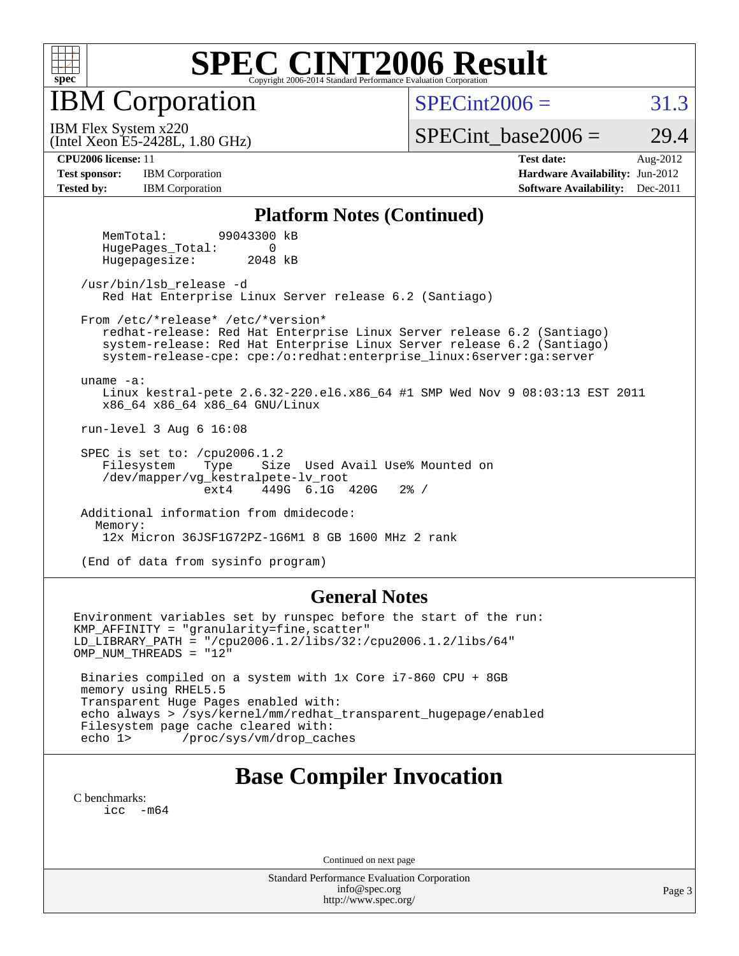

IBM Corporation

 $SPECint2006 = 31.3$  $SPECint2006 = 31.3$ 

(Intel Xeon E5-2428L, 1.80 GHz) IBM Flex System x220

SPECint base2006 =  $29.4$ 

**[Tested by:](http://www.spec.org/auto/cpu2006/Docs/result-fields.html#Testedby)** IBM Corporation **IBM** Corporation **[Software Availability:](http://www.spec.org/auto/cpu2006/Docs/result-fields.html#SoftwareAvailability)** Dec-2011

**[CPU2006 license:](http://www.spec.org/auto/cpu2006/Docs/result-fields.html#CPU2006license)** 11 **[Test date:](http://www.spec.org/auto/cpu2006/Docs/result-fields.html#Testdate)** Aug-2012 **[Test sponsor:](http://www.spec.org/auto/cpu2006/Docs/result-fields.html#Testsponsor)** IBM Corporation **[Hardware Availability:](http://www.spec.org/auto/cpu2006/Docs/result-fields.html#HardwareAvailability)** Jun-2012

#### **[Platform Notes \(Continued\)](http://www.spec.org/auto/cpu2006/Docs/result-fields.html#PlatformNotes)**

 MemTotal: 99043300 kB HugePages Total: 0 Hugepagesize: 2048 kB

 /usr/bin/lsb\_release -d Red Hat Enterprise Linux Server release 6.2 (Santiago)

From /etc/\*release\* /etc/\*version\*

 redhat-release: Red Hat Enterprise Linux Server release 6.2 (Santiago) system-release: Red Hat Enterprise Linux Server release 6.2 (Santiago) system-release-cpe: cpe:/o:redhat:enterprise\_linux:6server:ga:server

uname -a:

 Linux kestral-pete 2.6.32-220.el6.x86\_64 #1 SMP Wed Nov 9 08:03:13 EST 2011 x86\_64 x86\_64 x86\_64 GNU/Linux

run-level 3 Aug 6 16:08

SPEC is set to: /cpu2006.1.2<br>Filesystem Type Size Type Size Used Avail Use% Mounted on /dev/mapper/vg\_kestralpete-lv\_root ext4 449G 6.1G 420G 2% /

 Additional information from dmidecode: Memory: 12x Micron 36JSF1G72PZ-1G6M1 8 GB 1600 MHz 2 rank

(End of data from sysinfo program)

#### **[General Notes](http://www.spec.org/auto/cpu2006/Docs/result-fields.html#GeneralNotes)**

Environment variables set by runspec before the start of the run: KMP\_AFFINITY = "granularity=fine,scatter" LD\_LIBRARY\_PATH = "/cpu2006.1.2/libs/32:/cpu2006.1.2/libs/64" OMP\_NUM\_THREADS = "12" Binaries compiled on a system with 1x Core i7-860 CPU + 8GB memory using RHEL5.5 Transparent Huge Pages enabled with: echo always > /sys/kernel/mm/redhat\_transparent\_hugepage/enabled Filesystem page cache cleared with: echo 1> /proc/sys/vm/drop\_caches

### **[Base Compiler Invocation](http://www.spec.org/auto/cpu2006/Docs/result-fields.html#BaseCompilerInvocation)**

[C benchmarks](http://www.spec.org/auto/cpu2006/Docs/result-fields.html#Cbenchmarks): [icc -m64](http://www.spec.org/cpu2006/results/res2012q3/cpu2006-20120810-24177.flags.html#user_CCbase_intel_icc_64bit_f346026e86af2a669e726fe758c88044)

Continued on next page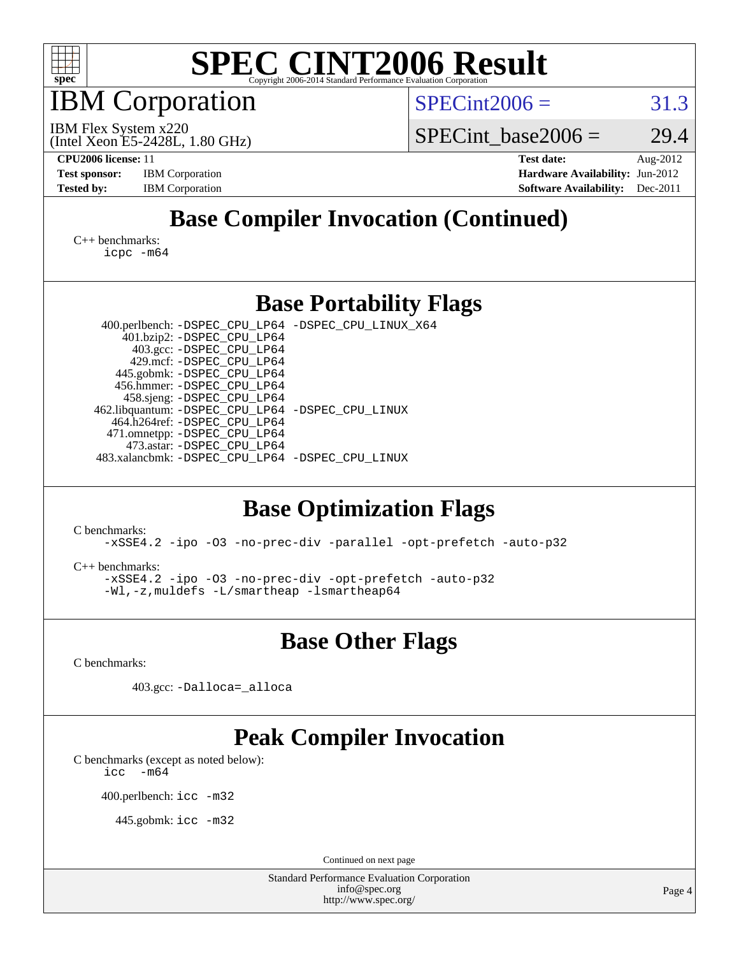

IBM Corporation

 $SPECint2006 = 31.3$  $SPECint2006 = 31.3$ 

(Intel Xeon E5-2428L, 1.80 GHz) IBM Flex System x220

SPECint base2006 =  $29.4$ 

**[CPU2006 license:](http://www.spec.org/auto/cpu2006/Docs/result-fields.html#CPU2006license)** 11 **[Test date:](http://www.spec.org/auto/cpu2006/Docs/result-fields.html#Testdate)** Aug-2012 **[Test sponsor:](http://www.spec.org/auto/cpu2006/Docs/result-fields.html#Testsponsor)** IBM Corporation **[Hardware Availability:](http://www.spec.org/auto/cpu2006/Docs/result-fields.html#HardwareAvailability)** Jun-2012 **[Tested by:](http://www.spec.org/auto/cpu2006/Docs/result-fields.html#Testedby)** IBM Corporation **IBM** Corporation **[Software Availability:](http://www.spec.org/auto/cpu2006/Docs/result-fields.html#SoftwareAvailability)** Dec-2011

### **[Base Compiler Invocation \(Continued\)](http://www.spec.org/auto/cpu2006/Docs/result-fields.html#BaseCompilerInvocation)**

[C++ benchmarks:](http://www.spec.org/auto/cpu2006/Docs/result-fields.html#CXXbenchmarks) [icpc -m64](http://www.spec.org/cpu2006/results/res2012q3/cpu2006-20120810-24177.flags.html#user_CXXbase_intel_icpc_64bit_fc66a5337ce925472a5c54ad6a0de310)

#### **[Base Portability Flags](http://www.spec.org/auto/cpu2006/Docs/result-fields.html#BasePortabilityFlags)**

 400.perlbench: [-DSPEC\\_CPU\\_LP64](http://www.spec.org/cpu2006/results/res2012q3/cpu2006-20120810-24177.flags.html#b400.perlbench_basePORTABILITY_DSPEC_CPU_LP64) [-DSPEC\\_CPU\\_LINUX\\_X64](http://www.spec.org/cpu2006/results/res2012q3/cpu2006-20120810-24177.flags.html#b400.perlbench_baseCPORTABILITY_DSPEC_CPU_LINUX_X64) 401.bzip2: [-DSPEC\\_CPU\\_LP64](http://www.spec.org/cpu2006/results/res2012q3/cpu2006-20120810-24177.flags.html#suite_basePORTABILITY401_bzip2_DSPEC_CPU_LP64) 403.gcc: [-DSPEC\\_CPU\\_LP64](http://www.spec.org/cpu2006/results/res2012q3/cpu2006-20120810-24177.flags.html#suite_basePORTABILITY403_gcc_DSPEC_CPU_LP64) 429.mcf: [-DSPEC\\_CPU\\_LP64](http://www.spec.org/cpu2006/results/res2012q3/cpu2006-20120810-24177.flags.html#suite_basePORTABILITY429_mcf_DSPEC_CPU_LP64) 445.gobmk: [-DSPEC\\_CPU\\_LP64](http://www.spec.org/cpu2006/results/res2012q3/cpu2006-20120810-24177.flags.html#suite_basePORTABILITY445_gobmk_DSPEC_CPU_LP64) 456.hmmer: [-DSPEC\\_CPU\\_LP64](http://www.spec.org/cpu2006/results/res2012q3/cpu2006-20120810-24177.flags.html#suite_basePORTABILITY456_hmmer_DSPEC_CPU_LP64) 458.sjeng: [-DSPEC\\_CPU\\_LP64](http://www.spec.org/cpu2006/results/res2012q3/cpu2006-20120810-24177.flags.html#suite_basePORTABILITY458_sjeng_DSPEC_CPU_LP64) 462.libquantum: [-DSPEC\\_CPU\\_LP64](http://www.spec.org/cpu2006/results/res2012q3/cpu2006-20120810-24177.flags.html#suite_basePORTABILITY462_libquantum_DSPEC_CPU_LP64) [-DSPEC\\_CPU\\_LINUX](http://www.spec.org/cpu2006/results/res2012q3/cpu2006-20120810-24177.flags.html#b462.libquantum_baseCPORTABILITY_DSPEC_CPU_LINUX) 464.h264ref: [-DSPEC\\_CPU\\_LP64](http://www.spec.org/cpu2006/results/res2012q3/cpu2006-20120810-24177.flags.html#suite_basePORTABILITY464_h264ref_DSPEC_CPU_LP64) 471.omnetpp: [-DSPEC\\_CPU\\_LP64](http://www.spec.org/cpu2006/results/res2012q3/cpu2006-20120810-24177.flags.html#suite_basePORTABILITY471_omnetpp_DSPEC_CPU_LP64) 473.astar: [-DSPEC\\_CPU\\_LP64](http://www.spec.org/cpu2006/results/res2012q3/cpu2006-20120810-24177.flags.html#suite_basePORTABILITY473_astar_DSPEC_CPU_LP64) 483.xalancbmk: [-DSPEC\\_CPU\\_LP64](http://www.spec.org/cpu2006/results/res2012q3/cpu2006-20120810-24177.flags.html#suite_basePORTABILITY483_xalancbmk_DSPEC_CPU_LP64) [-DSPEC\\_CPU\\_LINUX](http://www.spec.org/cpu2006/results/res2012q3/cpu2006-20120810-24177.flags.html#b483.xalancbmk_baseCXXPORTABILITY_DSPEC_CPU_LINUX)

### **[Base Optimization Flags](http://www.spec.org/auto/cpu2006/Docs/result-fields.html#BaseOptimizationFlags)**

[C benchmarks](http://www.spec.org/auto/cpu2006/Docs/result-fields.html#Cbenchmarks):

[-xSSE4.2](http://www.spec.org/cpu2006/results/res2012q3/cpu2006-20120810-24177.flags.html#user_CCbase_f-xSSE42_f91528193cf0b216347adb8b939d4107) [-ipo](http://www.spec.org/cpu2006/results/res2012q3/cpu2006-20120810-24177.flags.html#user_CCbase_f-ipo) [-O3](http://www.spec.org/cpu2006/results/res2012q3/cpu2006-20120810-24177.flags.html#user_CCbase_f-O3) [-no-prec-div](http://www.spec.org/cpu2006/results/res2012q3/cpu2006-20120810-24177.flags.html#user_CCbase_f-no-prec-div) [-parallel](http://www.spec.org/cpu2006/results/res2012q3/cpu2006-20120810-24177.flags.html#user_CCbase_f-parallel) [-opt-prefetch](http://www.spec.org/cpu2006/results/res2012q3/cpu2006-20120810-24177.flags.html#user_CCbase_f-opt-prefetch) [-auto-p32](http://www.spec.org/cpu2006/results/res2012q3/cpu2006-20120810-24177.flags.html#user_CCbase_f-auto-p32)

[C++ benchmarks:](http://www.spec.org/auto/cpu2006/Docs/result-fields.html#CXXbenchmarks)

[-xSSE4.2](http://www.spec.org/cpu2006/results/res2012q3/cpu2006-20120810-24177.flags.html#user_CXXbase_f-xSSE42_f91528193cf0b216347adb8b939d4107) [-ipo](http://www.spec.org/cpu2006/results/res2012q3/cpu2006-20120810-24177.flags.html#user_CXXbase_f-ipo) [-O3](http://www.spec.org/cpu2006/results/res2012q3/cpu2006-20120810-24177.flags.html#user_CXXbase_f-O3) [-no-prec-div](http://www.spec.org/cpu2006/results/res2012q3/cpu2006-20120810-24177.flags.html#user_CXXbase_f-no-prec-div) [-opt-prefetch](http://www.spec.org/cpu2006/results/res2012q3/cpu2006-20120810-24177.flags.html#user_CXXbase_f-opt-prefetch) [-auto-p32](http://www.spec.org/cpu2006/results/res2012q3/cpu2006-20120810-24177.flags.html#user_CXXbase_f-auto-p32) [-Wl,-z,muldefs](http://www.spec.org/cpu2006/results/res2012q3/cpu2006-20120810-24177.flags.html#user_CXXbase_link_force_multiple1_74079c344b956b9658436fd1b6dd3a8a) [-L/smartheap -lsmartheap64](http://www.spec.org/cpu2006/results/res2012q3/cpu2006-20120810-24177.flags.html#user_CXXbase_SmartHeap64_5e654037dadeae1fe403ab4b4466e60b)

**[Base Other Flags](http://www.spec.org/auto/cpu2006/Docs/result-fields.html#BaseOtherFlags)**

[C benchmarks](http://www.spec.org/auto/cpu2006/Docs/result-fields.html#Cbenchmarks):

403.gcc: [-Dalloca=\\_alloca](http://www.spec.org/cpu2006/results/res2012q3/cpu2006-20120810-24177.flags.html#b403.gcc_baseEXTRA_CFLAGS_Dalloca_be3056838c12de2578596ca5467af7f3)

### **[Peak Compiler Invocation](http://www.spec.org/auto/cpu2006/Docs/result-fields.html#PeakCompilerInvocation)**

[C benchmarks \(except as noted below\)](http://www.spec.org/auto/cpu2006/Docs/result-fields.html#Cbenchmarksexceptasnotedbelow):  $\text{icc}$  -m64

400.perlbench: [icc -m32](http://www.spec.org/cpu2006/results/res2012q3/cpu2006-20120810-24177.flags.html#user_peakCCLD400_perlbench_intel_icc_a6a621f8d50482236b970c6ac5f55f93)

445.gobmk: [icc -m32](http://www.spec.org/cpu2006/results/res2012q3/cpu2006-20120810-24177.flags.html#user_peakCCLD445_gobmk_intel_icc_a6a621f8d50482236b970c6ac5f55f93)

Continued on next page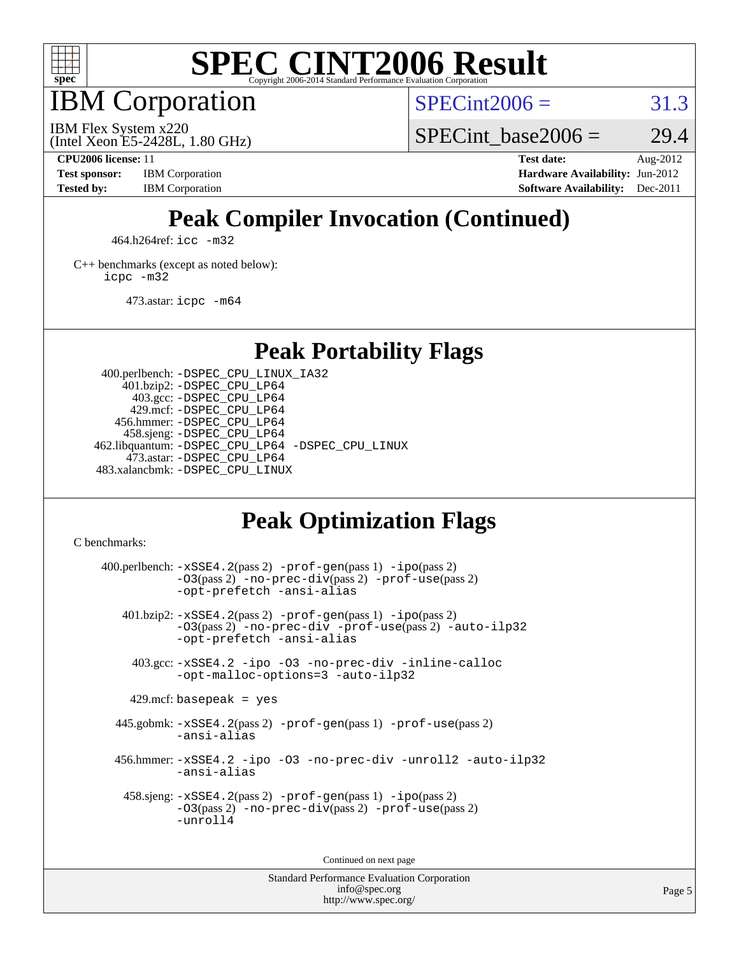

IBM Corporation

 $SPECint2006 = 31.3$  $SPECint2006 = 31.3$ 

(Intel Xeon E5-2428L, 1.80 GHz) IBM Flex System x220

SPECint base2006 =  $29.4$ 

**[CPU2006 license:](http://www.spec.org/auto/cpu2006/Docs/result-fields.html#CPU2006license)** 11 **[Test date:](http://www.spec.org/auto/cpu2006/Docs/result-fields.html#Testdate)** Aug-2012 **[Test sponsor:](http://www.spec.org/auto/cpu2006/Docs/result-fields.html#Testsponsor)** IBM Corporation **[Hardware Availability:](http://www.spec.org/auto/cpu2006/Docs/result-fields.html#HardwareAvailability)** Jun-2012 **[Tested by:](http://www.spec.org/auto/cpu2006/Docs/result-fields.html#Testedby)** IBM Corporation **[Software Availability:](http://www.spec.org/auto/cpu2006/Docs/result-fields.html#SoftwareAvailability)** Dec-2011

### **[Peak Compiler Invocation \(Continued\)](http://www.spec.org/auto/cpu2006/Docs/result-fields.html#PeakCompilerInvocation)**

464.h264ref: [icc -m32](http://www.spec.org/cpu2006/results/res2012q3/cpu2006-20120810-24177.flags.html#user_peakCCLD464_h264ref_intel_icc_a6a621f8d50482236b970c6ac5f55f93)

[C++ benchmarks \(except as noted below\):](http://www.spec.org/auto/cpu2006/Docs/result-fields.html#CXXbenchmarksexceptasnotedbelow) [icpc -m32](http://www.spec.org/cpu2006/results/res2012q3/cpu2006-20120810-24177.flags.html#user_CXXpeak_intel_icpc_4e5a5ef1a53fd332b3c49e69c3330699)

473.astar: [icpc -m64](http://www.spec.org/cpu2006/results/res2012q3/cpu2006-20120810-24177.flags.html#user_peakCXXLD473_astar_intel_icpc_64bit_fc66a5337ce925472a5c54ad6a0de310)

**[Peak Portability Flags](http://www.spec.org/auto/cpu2006/Docs/result-fields.html#PeakPortabilityFlags)**

 400.perlbench: [-DSPEC\\_CPU\\_LINUX\\_IA32](http://www.spec.org/cpu2006/results/res2012q3/cpu2006-20120810-24177.flags.html#b400.perlbench_peakCPORTABILITY_DSPEC_CPU_LINUX_IA32) 401.bzip2: [-DSPEC\\_CPU\\_LP64](http://www.spec.org/cpu2006/results/res2012q3/cpu2006-20120810-24177.flags.html#suite_peakPORTABILITY401_bzip2_DSPEC_CPU_LP64) 403.gcc: [-DSPEC\\_CPU\\_LP64](http://www.spec.org/cpu2006/results/res2012q3/cpu2006-20120810-24177.flags.html#suite_peakPORTABILITY403_gcc_DSPEC_CPU_LP64) 429.mcf: [-DSPEC\\_CPU\\_LP64](http://www.spec.org/cpu2006/results/res2012q3/cpu2006-20120810-24177.flags.html#suite_peakPORTABILITY429_mcf_DSPEC_CPU_LP64) 456.hmmer: [-DSPEC\\_CPU\\_LP64](http://www.spec.org/cpu2006/results/res2012q3/cpu2006-20120810-24177.flags.html#suite_peakPORTABILITY456_hmmer_DSPEC_CPU_LP64) 458.sjeng: [-DSPEC\\_CPU\\_LP64](http://www.spec.org/cpu2006/results/res2012q3/cpu2006-20120810-24177.flags.html#suite_peakPORTABILITY458_sjeng_DSPEC_CPU_LP64) 462.libquantum: [-DSPEC\\_CPU\\_LP64](http://www.spec.org/cpu2006/results/res2012q3/cpu2006-20120810-24177.flags.html#suite_peakPORTABILITY462_libquantum_DSPEC_CPU_LP64) [-DSPEC\\_CPU\\_LINUX](http://www.spec.org/cpu2006/results/res2012q3/cpu2006-20120810-24177.flags.html#b462.libquantum_peakCPORTABILITY_DSPEC_CPU_LINUX) 473.astar: [-DSPEC\\_CPU\\_LP64](http://www.spec.org/cpu2006/results/res2012q3/cpu2006-20120810-24177.flags.html#suite_peakPORTABILITY473_astar_DSPEC_CPU_LP64) 483.xalancbmk: [-DSPEC\\_CPU\\_LINUX](http://www.spec.org/cpu2006/results/res2012q3/cpu2006-20120810-24177.flags.html#b483.xalancbmk_peakCXXPORTABILITY_DSPEC_CPU_LINUX)

#### **[Peak Optimization Flags](http://www.spec.org/auto/cpu2006/Docs/result-fields.html#PeakOptimizationFlags)**

[C benchmarks](http://www.spec.org/auto/cpu2006/Docs/result-fields.html#Cbenchmarks):

 $400.$ perlbench:  $-xSSE4$ .  $2(pass 2)$  -prof-qen(pass 1) [-ipo](http://www.spec.org/cpu2006/results/res2012q3/cpu2006-20120810-24177.flags.html#user_peakPASS2_CFLAGSPASS2_LDCFLAGS400_perlbench_f-ipo)(pass 2) [-O3](http://www.spec.org/cpu2006/results/res2012q3/cpu2006-20120810-24177.flags.html#user_peakPASS2_CFLAGSPASS2_LDCFLAGS400_perlbench_f-O3)(pass 2) [-no-prec-div](http://www.spec.org/cpu2006/results/res2012q3/cpu2006-20120810-24177.flags.html#user_peakPASS2_CFLAGSPASS2_LDCFLAGS400_perlbench_f-no-prec-div)(pass 2) [-prof-use](http://www.spec.org/cpu2006/results/res2012q3/cpu2006-20120810-24177.flags.html#user_peakPASS2_CFLAGSPASS2_LDCFLAGS400_perlbench_prof_use_bccf7792157ff70d64e32fe3e1250b55)(pass 2) [-opt-prefetch](http://www.spec.org/cpu2006/results/res2012q3/cpu2006-20120810-24177.flags.html#user_peakCOPTIMIZE400_perlbench_f-opt-prefetch) [-ansi-alias](http://www.spec.org/cpu2006/results/res2012q3/cpu2006-20120810-24177.flags.html#user_peakCOPTIMIZE400_perlbench_f-ansi-alias) 401.bzip2: [-xSSE4.2](http://www.spec.org/cpu2006/results/res2012q3/cpu2006-20120810-24177.flags.html#user_peakPASS2_CFLAGSPASS2_LDCFLAGS401_bzip2_f-xSSE42_f91528193cf0b216347adb8b939d4107)(pass 2) [-prof-gen](http://www.spec.org/cpu2006/results/res2012q3/cpu2006-20120810-24177.flags.html#user_peakPASS1_CFLAGSPASS1_LDCFLAGS401_bzip2_prof_gen_e43856698f6ca7b7e442dfd80e94a8fc)(pass 1) [-ipo](http://www.spec.org/cpu2006/results/res2012q3/cpu2006-20120810-24177.flags.html#user_peakPASS2_CFLAGSPASS2_LDCFLAGS401_bzip2_f-ipo)(pass 2) [-O3](http://www.spec.org/cpu2006/results/res2012q3/cpu2006-20120810-24177.flags.html#user_peakPASS2_CFLAGSPASS2_LDCFLAGS401_bzip2_f-O3)(pass 2) [-no-prec-div](http://www.spec.org/cpu2006/results/res2012q3/cpu2006-20120810-24177.flags.html#user_peakCOPTIMIZEPASS2_CFLAGSPASS2_LDCFLAGS401_bzip2_f-no-prec-div) [-prof-use](http://www.spec.org/cpu2006/results/res2012q3/cpu2006-20120810-24177.flags.html#user_peakPASS2_CFLAGSPASS2_LDCFLAGS401_bzip2_prof_use_bccf7792157ff70d64e32fe3e1250b55)(pass 2) [-auto-ilp32](http://www.spec.org/cpu2006/results/res2012q3/cpu2006-20120810-24177.flags.html#user_peakCOPTIMIZE401_bzip2_f-auto-ilp32) [-opt-prefetch](http://www.spec.org/cpu2006/results/res2012q3/cpu2006-20120810-24177.flags.html#user_peakCOPTIMIZE401_bzip2_f-opt-prefetch) [-ansi-alias](http://www.spec.org/cpu2006/results/res2012q3/cpu2006-20120810-24177.flags.html#user_peakCOPTIMIZE401_bzip2_f-ansi-alias) 403.gcc: [-xSSE4.2](http://www.spec.org/cpu2006/results/res2012q3/cpu2006-20120810-24177.flags.html#user_peakCOPTIMIZE403_gcc_f-xSSE42_f91528193cf0b216347adb8b939d4107) [-ipo](http://www.spec.org/cpu2006/results/res2012q3/cpu2006-20120810-24177.flags.html#user_peakCOPTIMIZE403_gcc_f-ipo) [-O3](http://www.spec.org/cpu2006/results/res2012q3/cpu2006-20120810-24177.flags.html#user_peakCOPTIMIZE403_gcc_f-O3) [-no-prec-div](http://www.spec.org/cpu2006/results/res2012q3/cpu2006-20120810-24177.flags.html#user_peakCOPTIMIZE403_gcc_f-no-prec-div) [-inline-calloc](http://www.spec.org/cpu2006/results/res2012q3/cpu2006-20120810-24177.flags.html#user_peakCOPTIMIZE403_gcc_f-inline-calloc) [-opt-malloc-options=3](http://www.spec.org/cpu2006/results/res2012q3/cpu2006-20120810-24177.flags.html#user_peakCOPTIMIZE403_gcc_f-opt-malloc-options_13ab9b803cf986b4ee62f0a5998c2238) [-auto-ilp32](http://www.spec.org/cpu2006/results/res2012q3/cpu2006-20120810-24177.flags.html#user_peakCOPTIMIZE403_gcc_f-auto-ilp32)  $429$ .mcf: basepeak = yes 445.gobmk: [-xSSE4.2](http://www.spec.org/cpu2006/results/res2012q3/cpu2006-20120810-24177.flags.html#user_peakPASS2_CFLAGSPASS2_LDCFLAGS445_gobmk_f-xSSE42_f91528193cf0b216347adb8b939d4107)(pass 2) [-prof-gen](http://www.spec.org/cpu2006/results/res2012q3/cpu2006-20120810-24177.flags.html#user_peakPASS1_CFLAGSPASS1_LDCFLAGS445_gobmk_prof_gen_e43856698f6ca7b7e442dfd80e94a8fc)(pass 1) [-prof-use](http://www.spec.org/cpu2006/results/res2012q3/cpu2006-20120810-24177.flags.html#user_peakPASS2_CFLAGSPASS2_LDCFLAGS445_gobmk_prof_use_bccf7792157ff70d64e32fe3e1250b55)(pass 2) [-ansi-alias](http://www.spec.org/cpu2006/results/res2012q3/cpu2006-20120810-24177.flags.html#user_peakCOPTIMIZE445_gobmk_f-ansi-alias) 456.hmmer: [-xSSE4.2](http://www.spec.org/cpu2006/results/res2012q3/cpu2006-20120810-24177.flags.html#user_peakCOPTIMIZE456_hmmer_f-xSSE42_f91528193cf0b216347adb8b939d4107) [-ipo](http://www.spec.org/cpu2006/results/res2012q3/cpu2006-20120810-24177.flags.html#user_peakCOPTIMIZE456_hmmer_f-ipo) [-O3](http://www.spec.org/cpu2006/results/res2012q3/cpu2006-20120810-24177.flags.html#user_peakCOPTIMIZE456_hmmer_f-O3) [-no-prec-div](http://www.spec.org/cpu2006/results/res2012q3/cpu2006-20120810-24177.flags.html#user_peakCOPTIMIZE456_hmmer_f-no-prec-div) [-unroll2](http://www.spec.org/cpu2006/results/res2012q3/cpu2006-20120810-24177.flags.html#user_peakCOPTIMIZE456_hmmer_f-unroll_784dae83bebfb236979b41d2422d7ec2) [-auto-ilp32](http://www.spec.org/cpu2006/results/res2012q3/cpu2006-20120810-24177.flags.html#user_peakCOPTIMIZE456_hmmer_f-auto-ilp32) [-ansi-alias](http://www.spec.org/cpu2006/results/res2012q3/cpu2006-20120810-24177.flags.html#user_peakCOPTIMIZE456_hmmer_f-ansi-alias) 458.sjeng: [-xSSE4.2](http://www.spec.org/cpu2006/results/res2012q3/cpu2006-20120810-24177.flags.html#user_peakPASS2_CFLAGSPASS2_LDCFLAGS458_sjeng_f-xSSE42_f91528193cf0b216347adb8b939d4107)(pass 2) [-prof-gen](http://www.spec.org/cpu2006/results/res2012q3/cpu2006-20120810-24177.flags.html#user_peakPASS1_CFLAGSPASS1_LDCFLAGS458_sjeng_prof_gen_e43856698f6ca7b7e442dfd80e94a8fc)(pass 1) [-ipo](http://www.spec.org/cpu2006/results/res2012q3/cpu2006-20120810-24177.flags.html#user_peakPASS2_CFLAGSPASS2_LDCFLAGS458_sjeng_f-ipo)(pass 2) [-O3](http://www.spec.org/cpu2006/results/res2012q3/cpu2006-20120810-24177.flags.html#user_peakPASS2_CFLAGSPASS2_LDCFLAGS458_sjeng_f-O3)(pass 2) [-no-prec-div](http://www.spec.org/cpu2006/results/res2012q3/cpu2006-20120810-24177.flags.html#user_peakPASS2_CFLAGSPASS2_LDCFLAGS458_sjeng_f-no-prec-div)(pass 2) [-prof-use](http://www.spec.org/cpu2006/results/res2012q3/cpu2006-20120810-24177.flags.html#user_peakPASS2_CFLAGSPASS2_LDCFLAGS458_sjeng_prof_use_bccf7792157ff70d64e32fe3e1250b55)(pass 2) [-unroll4](http://www.spec.org/cpu2006/results/res2012q3/cpu2006-20120810-24177.flags.html#user_peakCOPTIMIZE458_sjeng_f-unroll_4e5e4ed65b7fd20bdcd365bec371b81f)

Continued on next page